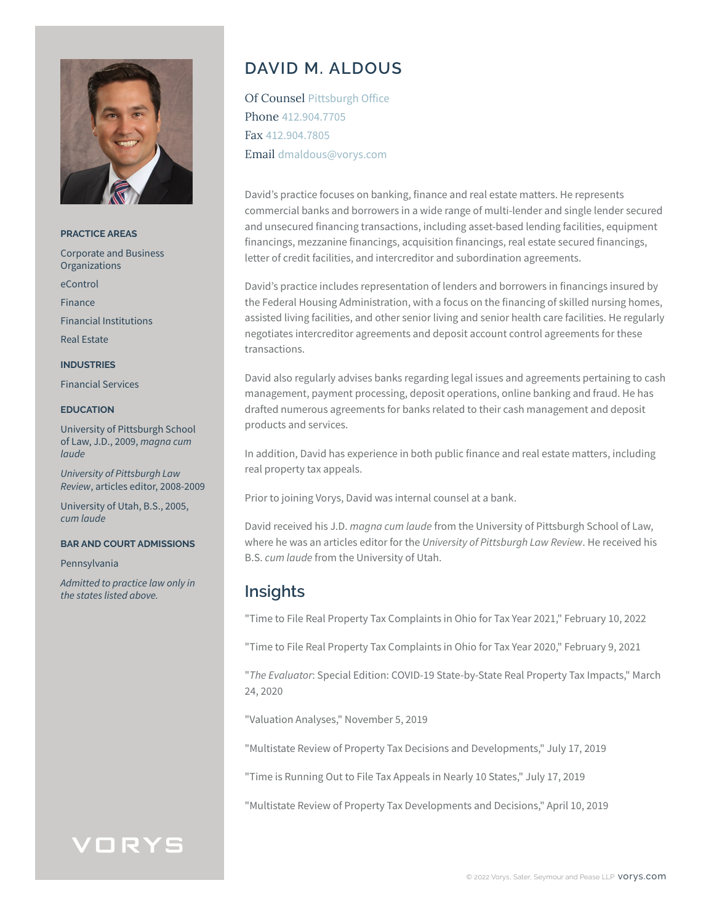

**PRACTICE AREAS** Corporate and Business **Organizations** eControl Finance Financial Institutions Real Estate **INDUSTRIES** Financial Services

### **EDUCATION**

University of Pittsburgh School of Law, J.D., 2009, *magna cum laude*

*University of Pittsburgh Law Review*, articles editor, 2008-2009

University of Utah, B.S., 2005, *cum laude*

### **BAR AND COURT ADMISSIONS**

Pennsylvania

*Admitted to practice law only in the states listed above.*

# **DAVID M. ALDOUS**

Of Counsel Pittsburgh Office Phone 412.904.7705 Fax 412.904.7805 Email dmaldous@vorys.com

David's practice focuses on banking, finance and real estate matters. He represents commercial banks and borrowers in a wide range of multi-lender and single lender secured and unsecured financing transactions, including asset-based lending facilities, equipment financings, mezzanine financings, acquisition financings, real estate secured financings, letter of credit facilities, and intercreditor and subordination agreements.

David's practice includes representation of lenders and borrowers in financings insured by the Federal Housing Administration, with a focus on the financing of skilled nursing homes, assisted living facilities, and other senior living and senior health care facilities. He regularly negotiates intercreditor agreements and deposit account control agreements for these transactions.

David also regularly advises banks regarding legal issues and agreements pertaining to cash management, payment processing, deposit operations, online banking and fraud. He has drafted numerous agreements for banks related to their cash management and deposit products and services.

In addition, David has experience in both public finance and real estate matters, including real property tax appeals.

Prior to joining Vorys, David was internal counsel at a bank.

David received his J.D. *magna cum laude* from the University of Pittsburgh School of Law, where he was an articles editor for the *University of Pittsburgh Law Review*. He received his B.S. *cum laude* from the University of Utah.

## **Insights**

"Time to File Real Property Tax Complaints in Ohio for Tax Year 2021," February 10, 2022

"Time to File Real Property Tax Complaints in Ohio for Tax Year 2020," February 9, 2021

"*The Evaluator*: Special Edition: COVID-19 State-by-State Real Property Tax Impacts," March 24, 2020

"Valuation Analyses," November 5, 2019

"Multistate Review of Property Tax Decisions and Developments," July 17, 2019

"Time is Running Out to File Tax Appeals in Nearly 10 States," July 17, 2019

"Multistate Review of Property Tax Developments and Decisions," April 10, 2019

# VORYS